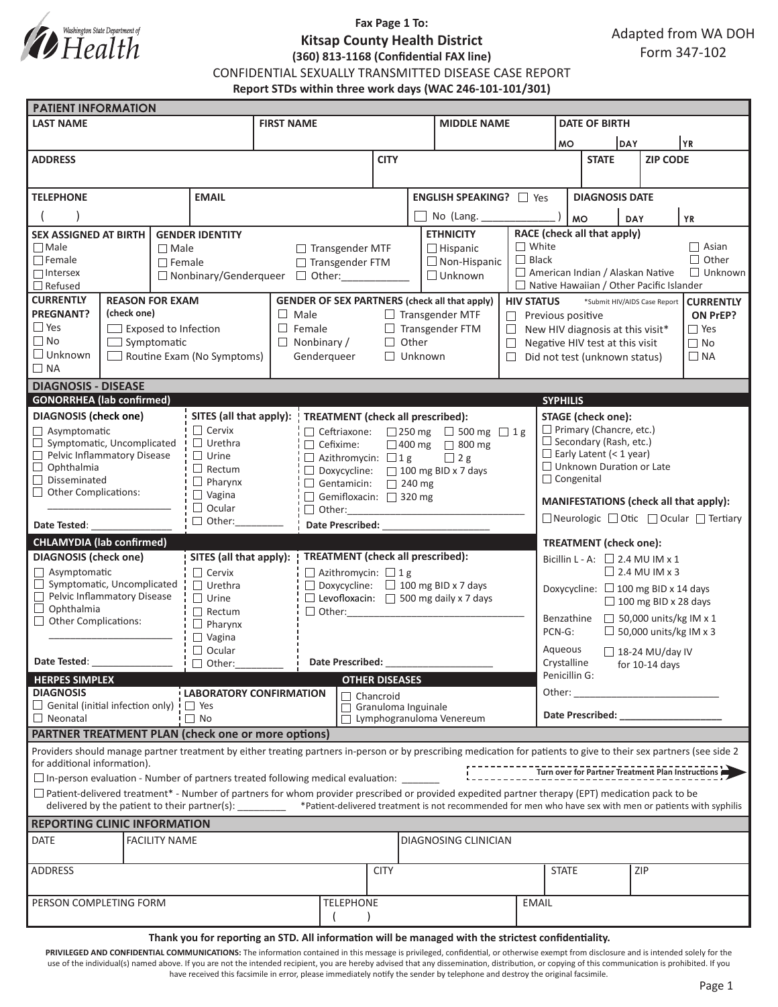

## **Fax Page 1 To: Kitsap County Health District (360) 813-1168 (Confidential FAX line)**

CONFIDENTIAL SEXUALLY TRANSMITTED DISEASE CASE REPORT

**Report STDs within three work days (WAC 246-101-101/301)**

|                                                                                                                                                                                                                                                 | <b>PATIENT INFORMATION</b>  |                      |                                             |                                                                           |                                                |                                                                                                 |                                 |                                                   |                                                                                                                                                               |                                                           |                                                                                                                                                                                                                                |                                          |  |                 |                              |  |
|-------------------------------------------------------------------------------------------------------------------------------------------------------------------------------------------------------------------------------------------------|-----------------------------|----------------------|---------------------------------------------|---------------------------------------------------------------------------|------------------------------------------------|-------------------------------------------------------------------------------------------------|---------------------------------|---------------------------------------------------|---------------------------------------------------------------------------------------------------------------------------------------------------------------|-----------------------------------------------------------|--------------------------------------------------------------------------------------------------------------------------------------------------------------------------------------------------------------------------------|------------------------------------------|--|-----------------|------------------------------|--|
| <b>LAST NAME</b>                                                                                                                                                                                                                                |                             |                      |                                             | <b>FIRST NAME</b>                                                         |                                                |                                                                                                 |                                 |                                                   | <b>MIDDLE NAME</b>                                                                                                                                            |                                                           |                                                                                                                                                                                                                                | <b>DATE OF BIRTH</b>                     |  |                 |                              |  |
|                                                                                                                                                                                                                                                 |                             |                      |                                             |                                                                           |                                                |                                                                                                 |                                 |                                                   |                                                                                                                                                               |                                                           | YR)<br>DAY<br><b>MO</b>                                                                                                                                                                                                        |                                          |  |                 |                              |  |
| <b>ADDRESS</b>                                                                                                                                                                                                                                  |                             |                      |                                             |                                                                           |                                                |                                                                                                 | <b>CITY</b>                     |                                                   |                                                                                                                                                               |                                                           |                                                                                                                                                                                                                                | <b>STATE</b>                             |  | <b>ZIP CODE</b> |                              |  |
|                                                                                                                                                                                                                                                 |                             |                      |                                             |                                                                           |                                                |                                                                                                 |                                 |                                                   |                                                                                                                                                               |                                                           |                                                                                                                                                                                                                                |                                          |  |                 |                              |  |
| <b>TELEPHONE</b><br><b>EMAIL</b>                                                                                                                                                                                                                |                             |                      |                                             |                                                                           |                                                |                                                                                                 |                                 | ENGLISH SPEAKING? 7 Yes                           |                                                                                                                                                               |                                                           | <b>DIAGNOSIS DATE</b>                                                                                                                                                                                                          |                                          |  |                 |                              |  |
|                                                                                                                                                                                                                                                 |                             |                      |                                             |                                                                           |                                                |                                                                                                 |                                 |                                                   |                                                                                                                                                               |                                                           |                                                                                                                                                                                                                                |                                          |  |                 |                              |  |
|                                                                                                                                                                                                                                                 |                             |                      |                                             |                                                                           |                                                |                                                                                                 | No (Lang.                       |                                                   |                                                                                                                                                               | <b>MO</b><br><b>YR</b><br>DAY                             |                                                                                                                                                                                                                                |                                          |  |                 |                              |  |
| <b>SEX ASSIGNED AT BIRTH</b><br><b>GENDER IDENTITY</b>                                                                                                                                                                                          |                             |                      |                                             |                                                                           |                                                |                                                                                                 |                                 |                                                   | <b>ETHNICITY</b>                                                                                                                                              |                                                           |                                                                                                                                                                                                                                | RACE (check all that apply)              |  |                 |                              |  |
| $\Box$ Male                                                                                                                                                                                                                                     |                             | $\Box$ Male          |                                             |                                                                           | $\Box$ Transgender MTF                         |                                                                                                 |                                 |                                                   | $\Box$ Hispanic                                                                                                                                               | $\Box$ White<br>$\Box$ Black                              |                                                                                                                                                                                                                                |                                          |  |                 | $\Box$ Asian<br>$\Box$ Other |  |
| $\Box$ Female<br>$\Box$ Female<br>$\Box$ Intersex                                                                                                                                                                                               |                             |                      |                                             | □ Transgender FTM                                                         |                                                |                                                                                                 |                                 | $\Box$ Non-Hispanic<br>$\Box$ Unknown             |                                                                                                                                                               |                                                           | American Indian / Alaskan Native<br>$\Box$ Unknown                                                                                                                                                                             |                                          |  |                 |                              |  |
| $\Box$ Refused                                                                                                                                                                                                                                  |                             |                      | □ Nonbinary/Genderqueer                     |                                                                           |                                                |                                                                                                 |                                 |                                                   |                                                                                                                                                               |                                                           | $\Box$ Native Hawaiian / Other Pacific Islander                                                                                                                                                                                |                                          |  |                 |                              |  |
| <b>CURRENTLY</b><br><b>REASON FOR EXAM</b>                                                                                                                                                                                                      |                             |                      |                                             | <b>GENDER OF SEX PARTNERS (check all that apply)</b><br><b>HIV STATUS</b> |                                                |                                                                                                 |                                 |                                                   |                                                                                                                                                               |                                                           | *Submit HIV/AIDS Case Report<br><b>CURRENTLY</b>                                                                                                                                                                               |                                          |  |                 |                              |  |
| <b>PREGNANT?</b>                                                                                                                                                                                                                                | (check one)                 |                      |                                             |                                                                           | $\Box$ Male<br>$\Box$ Transgender MTF          |                                                                                                 |                                 |                                                   |                                                                                                                                                               |                                                           | ON PrEP?<br>$\Box$ Previous positive                                                                                                                                                                                           |                                          |  |                 |                              |  |
| $\Box$ Yes                                                                                                                                                                                                                                      | $\Box$ Exposed to Infection |                      |                                             |                                                                           | $\Box$ Female<br>$\Box$ Transgender FTM        |                                                                                                 |                                 |                                                   |                                                                                                                                                               |                                                           | $\Box$ New HIV diagnosis at this visit*<br>$\square$ Yes                                                                                                                                                                       |                                          |  |                 |                              |  |
| $\Box$ No                                                                                                                                                                                                                                       | $\Box$ Symptomatic          |                      |                                             |                                                                           | $\Box$ Other<br>$\Box$ Nonbinary /             |                                                                                                 |                                 |                                                   |                                                                                                                                                               | $\Box$                                                    | $\Box$ No<br>Negative HIV test at this visit                                                                                                                                                                                   |                                          |  |                 |                              |  |
| $\Box$ Unknown<br>$\Box$ Routine Exam (No Symptoms)                                                                                                                                                                                             |                             |                      | Genderqueer                                 |                                                                           |                                                | $\Box$ Unknown                                                                                  |                                 |                                                   |                                                                                                                                                               | $\Box$ Did not test (unknown status)<br>$\Box$ NA         |                                                                                                                                                                                                                                |                                          |  |                 |                              |  |
| $\Box$ NA                                                                                                                                                                                                                                       |                             |                      |                                             |                                                                           |                                                |                                                                                                 |                                 |                                                   |                                                                                                                                                               |                                                           |                                                                                                                                                                                                                                |                                          |  |                 |                              |  |
| <b>DIAGNOSIS - DISEASE</b>                                                                                                                                                                                                                      |                             |                      |                                             |                                                                           |                                                |                                                                                                 |                                 |                                                   |                                                                                                                                                               |                                                           |                                                                                                                                                                                                                                |                                          |  |                 |                              |  |
| <b>GONORRHEA</b> (lab confirmed)                                                                                                                                                                                                                |                             |                      |                                             |                                                                           |                                                |                                                                                                 |                                 |                                                   |                                                                                                                                                               |                                                           | <b>SYPHILIS</b>                                                                                                                                                                                                                |                                          |  |                 |                              |  |
| <b>DIAGNOSIS (check one)</b>                                                                                                                                                                                                                    |                             |                      |                                             | SITES (all that apply):                                                   |                                                |                                                                                                 |                                 | <b>TREATMENT</b> (check all prescribed):          |                                                                                                                                                               |                                                           |                                                                                                                                                                                                                                | <b>STAGE</b> (check one):                |  |                 |                              |  |
| Asymptomatic                                                                                                                                                                                                                                    |                             |                      | $\Box$ Cervix                               |                                                                           |                                                | $\Box$ Ceftriaxone: $\Box$ 250 mg $\Box$ 500 mg $\Box$ 1 g                                      |                                 |                                                   |                                                                                                                                                               |                                                           | $\Box$ Primary (Chancre, etc.)                                                                                                                                                                                                 |                                          |  |                 |                              |  |
| Symptomatic, Uncomplicated<br>Pelvic Inflammatory Disease                                                                                                                                                                                       |                             |                      | $\Box$ Urethra<br>$\Box$ Urine              |                                                                           | $\Box$ Cefixime:                               |                                                                                                 | $\Box$ 400 mg $\Box$ 800 mg     |                                                   |                                                                                                                                                               |                                                           | $\Box$ Secondary (Rash, etc.)<br>$\Box$ Early Latent (< 1 year)                                                                                                                                                                |                                          |  |                 |                              |  |
| $\Box$ Ophthalmia                                                                                                                                                                                                                               |                             |                      | $\Box$ Rectum                               |                                                                           |                                                | $\Box$ Azithromycin: $\Box$ 1 g<br>$\Box$ 2 g<br>$\Box$ Doxycycline: $\Box$ 100 mg BID x 7 days |                                 |                                                   |                                                                                                                                                               |                                                           | $\Box$ Unknown Duration or Late                                                                                                                                                                                                |                                          |  |                 |                              |  |
| $\Box$ Disseminated                                                                                                                                                                                                                             |                             |                      | $\Box$ Pharynx<br>Gentamicin: $\Box$ 240 mg |                                                                           |                                                |                                                                                                 |                                 |                                                   |                                                                                                                                                               |                                                           | $\Box$ Congenital                                                                                                                                                                                                              |                                          |  |                 |                              |  |
| $\Box$ Other Complications:                                                                                                                                                                                                                     |                             |                      | $\Box$ Vagina                               | Gemifloxacin: 320 mg                                                      |                                                |                                                                                                 |                                 |                                                   |                                                                                                                                                               |                                                           |                                                                                                                                                                                                                                |                                          |  |                 |                              |  |
| $\Box$ Ocular                                                                                                                                                                                                                                   |                             |                      |                                             | $\Box$ Other:                                                             |                                                |                                                                                                 |                                 |                                                   |                                                                                                                                                               | MANIFESTATIONS (check all that apply):                    |                                                                                                                                                                                                                                |                                          |  |                 |                              |  |
| $\Box$ Other: $\_\_\_\_\_\_\_\$<br>Date Tested:                                                                                                                                                                                                 |                             |                      | Date Prescribed: National Prescribed:       |                                                                           |                                                |                                                                                                 |                                 |                                                   |                                                                                                                                                               | □ Neurologic □ Otic □ Ocular □ Tertiary                   |                                                                                                                                                                                                                                |                                          |  |                 |                              |  |
| <b>CHLAMYDIA (lab confirmed)</b>                                                                                                                                                                                                                |                             |                      |                                             |                                                                           |                                                |                                                                                                 |                                 |                                                   |                                                                                                                                                               |                                                           |                                                                                                                                                                                                                                | <b>TREATMENT</b> (check one):            |  |                 |                              |  |
| <b>DIAGNOSIS</b> (check one)                                                                                                                                                                                                                    |                             |                      | SITES (all that apply):                     |                                                                           |                                                | <b>TREATMENT</b> (check all prescribed):                                                        |                                 |                                                   |                                                                                                                                                               |                                                           | Bicillin L - A: $\Box$ 2.4 MU IM x 1                                                                                                                                                                                           |                                          |  |                 |                              |  |
| $\Box$ Asymptomatic                                                                                                                                                                                                                             |                             | $\Box$ Cervix        |                                             | $\Box$ Azithromycin: $\Box$ 1 g                                           |                                                |                                                                                                 |                                 |                                                   |                                                                                                                                                               | $\Box$ 2.4 MU IM x 3                                      |                                                                                                                                                                                                                                |                                          |  |                 |                              |  |
| $\Box$ Symptomatic, Uncomplicated                                                                                                                                                                                                               |                             |                      | $\Box$ Urethra                              |                                                                           | $\Box$ Doxycycline: $\Box$ 100 mg BID x 7 days |                                                                                                 |                                 |                                                   |                                                                                                                                                               |                                                           |                                                                                                                                                                                                                                | Doxycycline: $\Box$ 100 mg BID x 14 days |  |                 |                              |  |
| Pelvic Inflammatory Disease<br>$\Box$ Ophthalmia                                                                                                                                                                                                |                             |                      | $\Box$ Urine                                |                                                                           |                                                |                                                                                                 |                                 | $\Box$ Levofloxacin: $\Box$ 500 mg daily x 7 days |                                                                                                                                                               |                                                           | $\Box$ 100 mg BID x 28 days                                                                                                                                                                                                    |                                          |  |                 |                              |  |
| Other Complications:                                                                                                                                                                                                                            |                             |                      | $\Box$ Rectum<br>$\Box$ Pharynx             |                                                                           | □ Other: ____________                          |                                                                                                 |                                 |                                                   |                                                                                                                                                               |                                                           | $\Box$ 50,000 units/kg IM x 1<br>Benzathine                                                                                                                                                                                    |                                          |  |                 |                              |  |
|                                                                                                                                                                                                                                                 |                             | $\Box$ Vagina        |                                             |                                                                           |                                                |                                                                                                 |                                 |                                                   | $\Box$ 50,000 units/kg IM x 3<br>PCN-G:                                                                                                                       |                                                           |                                                                                                                                                                                                                                |                                          |  |                 |                              |  |
| $\Box$ Ocular                                                                                                                                                                                                                                   |                             |                      |                                             |                                                                           |                                                |                                                                                                 |                                 |                                                   |                                                                                                                                                               |                                                           | Aqueous                                                                                                                                                                                                                        |                                          |  |                 |                              |  |
| Date Tested: The Case of the Case of the Case of the Case of the Case of the Case of the Case of the Case of the Case of the Case of the Case of the Case of the Case of the Case of the Case of the Case of the Case of the C<br>$\Box$ Other: |                             |                      | Date Prescribed:                            |                                                                           |                                                |                                                                                                 |                                 |                                                   |                                                                                                                                                               | $\Box$ 18-24 MU/day IV<br>Crystalline<br>for $10-14$ days |                                                                                                                                                                                                                                |                                          |  |                 |                              |  |
| <b>HERPES SIMPLEX</b>                                                                                                                                                                                                                           |                             |                      |                                             |                                                                           |                                                | <b>OTHER DISEASES</b>                                                                           |                                 |                                                   |                                                                                                                                                               |                                                           | Penicillin G:                                                                                                                                                                                                                  |                                          |  |                 |                              |  |
| <b>DIAGNOSIS</b><br><b>LABORATORY CONFIRMATION</b>                                                                                                                                                                                              |                             |                      |                                             | $\Box$ Chancroid                                                          |                                                |                                                                                                 |                                 |                                                   |                                                                                                                                                               |                                                           |                                                                                                                                                                                                                                | Other:                                   |  |                 |                              |  |
| $\Box$ Genital (initial infection only) $\vdash$ $\Box$ Yes                                                                                                                                                                                     |                             |                      |                                             |                                                                           |                                                |                                                                                                 |                                 |                                                   | Granuloma Inguinale                                                                                                                                           |                                                           |                                                                                                                                                                                                                                |                                          |  |                 |                              |  |
| $\Box$ No<br>$\Box$ Neonatal                                                                                                                                                                                                                    |                             |                      |                                             |                                                                           |                                                |                                                                                                 | $\Box$ Lymphogranuloma Venereum |                                                   |                                                                                                                                                               |                                                           | Date Prescribed: Note that the present of the state of the state of the state of the state of the state of the state of the state of the state of the state of the state of the state of the state of the state of the state o |                                          |  |                 |                              |  |
| <b>PARTNER TREATMENT PLAN (check one or more options)</b>                                                                                                                                                                                       |                             |                      |                                             |                                                                           |                                                |                                                                                                 |                                 |                                                   |                                                                                                                                                               |                                                           |                                                                                                                                                                                                                                |                                          |  |                 |                              |  |
| Providers should manage partner treatment by either treating partners in-person or by prescribing medication for patients to give to their sex partners (see side 2<br>for additional information).                                             |                             |                      |                                             |                                                                           |                                                |                                                                                                 |                                 |                                                   |                                                                                                                                                               |                                                           |                                                                                                                                                                                                                                |                                          |  |                 |                              |  |
| $\square$ In-person evaluation - Number of partners treated following medical evaluation: $\_{\_$                                                                                                                                               |                             |                      |                                             |                                                                           |                                                |                                                                                                 |                                 |                                                   |                                                                                                                                                               |                                                           |                                                                                                                                                                                                                                |                                          |  |                 |                              |  |
| $\Box$ Patient-delivered treatment* - Number of partners for whom provider prescribed or provided expedited partner therapy (EPT) medication pack to be                                                                                         |                             |                      |                                             |                                                                           |                                                |                                                                                                 |                                 |                                                   | delivered by the patient to their partner(s): _______ *Patient-delivered treatment is not recommended for men who have sex with men or patients with syphilis |                                                           |                                                                                                                                                                                                                                |                                          |  |                 |                              |  |
| <b>REPORTING CLINIC INFORMATION</b>                                                                                                                                                                                                             |                             |                      |                                             |                                                                           |                                                |                                                                                                 |                                 |                                                   |                                                                                                                                                               |                                                           |                                                                                                                                                                                                                                |                                          |  |                 |                              |  |
|                                                                                                                                                                                                                                                 |                             |                      |                                             |                                                                           |                                                |                                                                                                 |                                 |                                                   |                                                                                                                                                               |                                                           |                                                                                                                                                                                                                                |                                          |  |                 |                              |  |
| <b>DATE</b>                                                                                                                                                                                                                                     |                             | <b>FACILITY NAME</b> |                                             |                                                                           |                                                |                                                                                                 |                                 | DIAGNOSING CLINICIAN                              |                                                                                                                                                               |                                                           |                                                                                                                                                                                                                                |                                          |  |                 |                              |  |
| ADDRESS                                                                                                                                                                                                                                         |                             |                      |                                             |                                                                           |                                                |                                                                                                 | <b>CITY</b>                     |                                                   |                                                                                                                                                               |                                                           | <b>STATE</b>                                                                                                                                                                                                                   |                                          |  | ZIP             |                              |  |
|                                                                                                                                                                                                                                                 |                             |                      |                                             |                                                                           |                                                |                                                                                                 |                                 |                                                   |                                                                                                                                                               |                                                           |                                                                                                                                                                                                                                |                                          |  |                 |                              |  |
|                                                                                                                                                                                                                                                 |                             |                      |                                             |                                                                           |                                                |                                                                                                 |                                 |                                                   |                                                                                                                                                               |                                                           |                                                                                                                                                                                                                                |                                          |  |                 |                              |  |
|                                                                                                                                                                                                                                                 |                             |                      |                                             |                                                                           |                                                |                                                                                                 |                                 |                                                   |                                                                                                                                                               |                                                           |                                                                                                                                                                                                                                |                                          |  |                 |                              |  |
| <b>TELEPHONE</b><br>PERSON COMPLETING FORM<br><b>EMAIL</b>                                                                                                                                                                                      |                             |                      |                                             |                                                                           |                                                |                                                                                                 |                                 |                                                   |                                                                                                                                                               |                                                           |                                                                                                                                                                                                                                |                                          |  |                 |                              |  |

**Thank you for reporting an STD. All information will be managed with the strictest confidentiality.** 

PRIVILEGED AND CONFIDENTIAL COMMUNICATIONS: The information contained in this message is privileged, confidential, or otherwise exempt from disclosure and is intended solely for the use of the individual(s) named above. If you are not the intended recipient, you are hereby advised that any dissemination, distribution, or copying of this communication is prohibited. If you have received this facsimile in error, please immediately notify the sender by telephone and destroy the original facsimile.